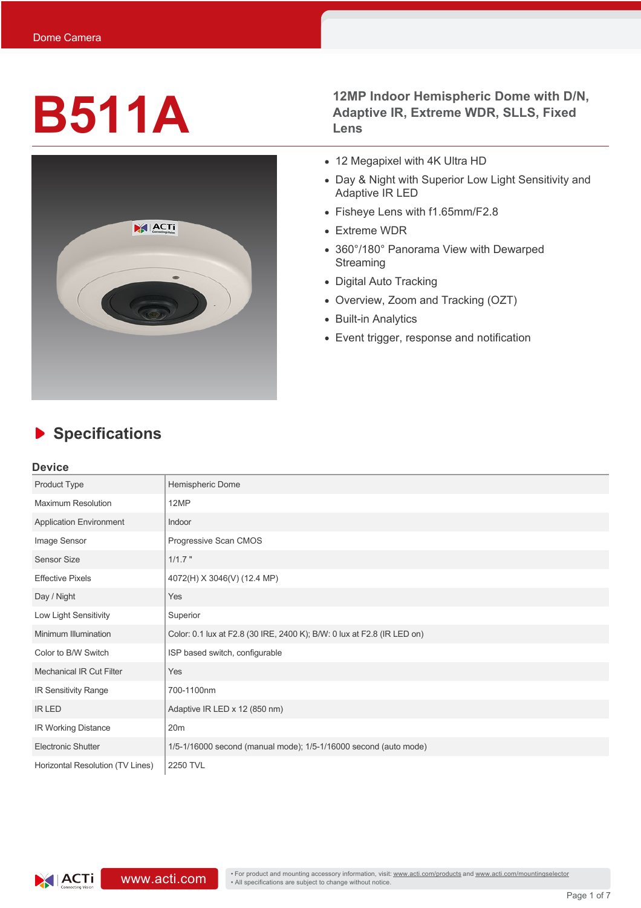

**B511A 12MP** Indoor Hemispheric Dome with D/N,<br>Adaptive IR, Extreme WDR, SLLS, Fixed<br>Lens **Adaptive IR, Extreme WDR, SLLS, Fixed Lens**

- 12 Megapixel with 4K Ultra HD
- Day & Night with Superior Low Light Sensitivity and Adaptive IR LED
- Fisheye Lens with f1.65mm/F2.8
- Extreme WDR
- 360°/180° Panorama View with Dewarped **Streaming**
- Digital Auto Tracking
- Overview, Zoom and Tracking (OZT)
- Built-in Analytics
- Event trigger, response and notification

## **Device**

| Product Type                     | Hemispheric Dome                                                        |
|----------------------------------|-------------------------------------------------------------------------|
| <b>Maximum Resolution</b>        | 12MP                                                                    |
| <b>Application Environment</b>   | Indoor                                                                  |
| Image Sensor                     | Progressive Scan CMOS                                                   |
| <b>Sensor Size</b>               | $1/1.7$ "                                                               |
| <b>Effective Pixels</b>          | 4072(H) X 3046(V) (12.4 MP)                                             |
| Day / Night                      | Yes                                                                     |
| Low Light Sensitivity            | Superior                                                                |
| Minimum Illumination             | Color: 0.1 lux at F2.8 (30 IRE, 2400 K); B/W: 0 lux at F2.8 (IR LED on) |
| Color to B/W Switch              | ISP based switch, configurable                                          |
| <b>Mechanical IR Cut Filter</b>  | Yes                                                                     |
| IR Sensitivity Range             | 700-1100nm                                                              |
| <b>IR LED</b>                    | Adaptive IR LED x 12 (850 nm)                                           |
| IR Working Distance              | 20m                                                                     |
| <b>Electronic Shutter</b>        | 1/5-1/16000 second (manual mode); 1/5-1/16000 second (auto mode)        |
| Horizontal Resolution (TV Lines) | 2250 TVL                                                                |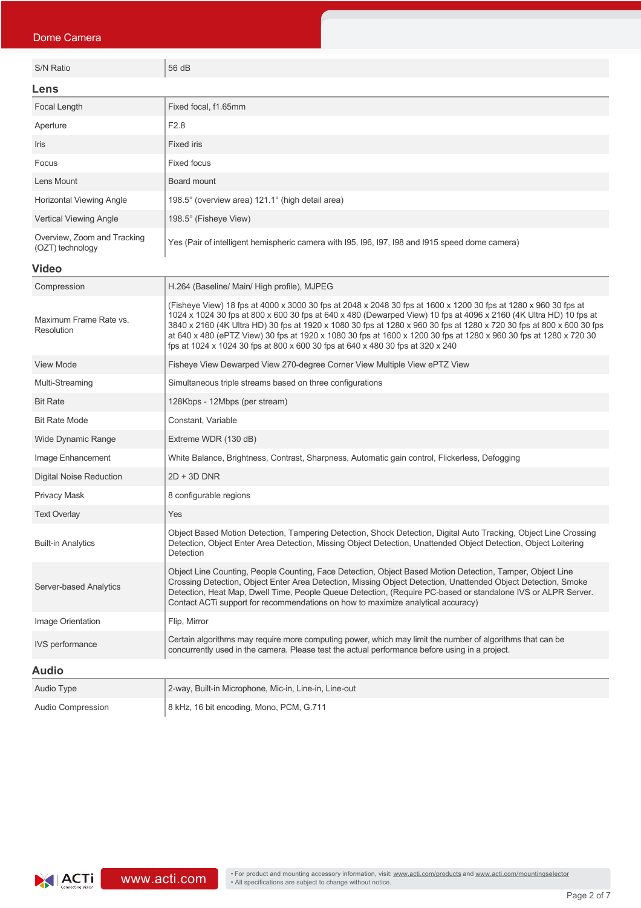| Dome Camera                                     |                                                                                                                                                                                                                                                                                                                                                                                                                                                                                                                                                                     |  |
|-------------------------------------------------|---------------------------------------------------------------------------------------------------------------------------------------------------------------------------------------------------------------------------------------------------------------------------------------------------------------------------------------------------------------------------------------------------------------------------------------------------------------------------------------------------------------------------------------------------------------------|--|
| S/N Ratio                                       | 56 dB                                                                                                                                                                                                                                                                                                                                                                                                                                                                                                                                                               |  |
|                                                 |                                                                                                                                                                                                                                                                                                                                                                                                                                                                                                                                                                     |  |
| Lens                                            |                                                                                                                                                                                                                                                                                                                                                                                                                                                                                                                                                                     |  |
| Focal Length                                    | Fixed focal, f1.65mm                                                                                                                                                                                                                                                                                                                                                                                                                                                                                                                                                |  |
| Aperture                                        | F <sub>2.8</sub>                                                                                                                                                                                                                                                                                                                                                                                                                                                                                                                                                    |  |
| Iris                                            | <b>Fixed iris</b>                                                                                                                                                                                                                                                                                                                                                                                                                                                                                                                                                   |  |
| Focus                                           | <b>Fixed focus</b>                                                                                                                                                                                                                                                                                                                                                                                                                                                                                                                                                  |  |
| Lens Mount                                      | Board mount                                                                                                                                                                                                                                                                                                                                                                                                                                                                                                                                                         |  |
| Horizontal Viewing Angle                        | 198.5° (overview area) 121.1° (high detail area)                                                                                                                                                                                                                                                                                                                                                                                                                                                                                                                    |  |
| <b>Vertical Viewing Angle</b>                   | 198.5° (Fisheye View)                                                                                                                                                                                                                                                                                                                                                                                                                                                                                                                                               |  |
| Overview, Zoom and Tracking<br>(OZT) technology | Yes (Pair of intelligent hemispheric camera with 195, 196, 197, 198 and 1915 speed dome camera)                                                                                                                                                                                                                                                                                                                                                                                                                                                                     |  |
| <b>Video</b>                                    |                                                                                                                                                                                                                                                                                                                                                                                                                                                                                                                                                                     |  |
| Compression                                     | H.264 (Baseline/ Main/ High profile), MJPEG                                                                                                                                                                                                                                                                                                                                                                                                                                                                                                                         |  |
| Maximum Frame Rate vs.<br>Resolution            | (Fisheye View) 18 fps at 4000 x 3000 30 fps at 2048 x 2048 30 fps at 1600 x 1200 30 fps at 1280 x 960 30 fps at<br>1024 x 1024 30 fps at 800 x 600 30 fps at 640 x 480 (Dewarped View) 10 fps at 4096 x 2160 (4K Ultra HD) 10 fps at<br>3840 x 2160 (4K Ultra HD) 30 fps at 1920 x 1080 30 fps at 1280 x 960 30 fps at 1280 x 720 30 fps at 800 x 600 30 fps<br>at 640 x 480 (ePTZ View) 30 fps at 1920 x 1080 30 fps at 1600 x 1200 30 fps at 1280 x 960 30 fps at 1280 x 720 30<br>fps at 1024 x 1024 30 fps at 800 x 600 30 fps at 640 x 480 30 fps at 320 x 240 |  |
| View Mode                                       | Fisheye View Dewarped View 270-degree Corner View Multiple View ePTZ View                                                                                                                                                                                                                                                                                                                                                                                                                                                                                           |  |
| Multi-Streaming                                 | Simultaneous triple streams based on three configurations                                                                                                                                                                                                                                                                                                                                                                                                                                                                                                           |  |
| <b>Bit Rate</b>                                 | 128Kbps - 12Mbps (per stream)                                                                                                                                                                                                                                                                                                                                                                                                                                                                                                                                       |  |
| <b>Bit Rate Mode</b>                            | Constant, Variable                                                                                                                                                                                                                                                                                                                                                                                                                                                                                                                                                  |  |
| Wide Dynamic Range                              | Extreme WDR (130 dB)                                                                                                                                                                                                                                                                                                                                                                                                                                                                                                                                                |  |
| Image Enhancement                               | White Balance, Brightness, Contrast, Sharpness, Automatic gain control, Flickerless, Defogging                                                                                                                                                                                                                                                                                                                                                                                                                                                                      |  |
| Digital Noise Reduction                         | $2D + 3D$ DNR                                                                                                                                                                                                                                                                                                                                                                                                                                                                                                                                                       |  |
| Privacy Mask                                    | 8 configurable regions                                                                                                                                                                                                                                                                                                                                                                                                                                                                                                                                              |  |
| <b>Text Overlay</b>                             | Yes                                                                                                                                                                                                                                                                                                                                                                                                                                                                                                                                                                 |  |
| <b>Built-in Analytics</b>                       | Object Based Motion Detection, Tampering Detection, Shock Detection, Digital Auto Tracking, Object Line Crossing<br>Detection, Object Enter Area Detection, Missing Object Detection, Unattended Object Detection, Object Loitering<br>Detection                                                                                                                                                                                                                                                                                                                    |  |
| Server-based Analytics                          | Object Line Counting, People Counting, Face Detection, Object Based Motion Detection, Tamper, Object Line<br>Crossing Detection, Object Enter Area Detection, Missing Object Detection, Unattended Object Detection, Smoke<br>Detection, Heat Map, Dwell Time, People Queue Detection, (Require PC-based or standalone IVS or ALPR Server.<br>Contact ACTi support for recommendations on how to maximize analytical accuracy)                                                                                                                                      |  |
| Image Orientation                               | Flip, Mirror                                                                                                                                                                                                                                                                                                                                                                                                                                                                                                                                                        |  |
| <b>IVS</b> performance                          | Certain algorithms may require more computing power, which may limit the number of algorithms that can be<br>concurrently used in the camera. Please test the actual performance before using in a project.                                                                                                                                                                                                                                                                                                                                                         |  |
| <b>Audio</b>                                    |                                                                                                                                                                                                                                                                                                                                                                                                                                                                                                                                                                     |  |
| Audio Type                                      | 2-way, Built-in Microphone, Mic-in, Line-in, Line-out                                                                                                                                                                                                                                                                                                                                                                                                                                                                                                               |  |
| <b>Audio Compression</b>                        | 8 kHz, 16 bit encoding, Mono, PCM, G.711                                                                                                                                                                                                                                                                                                                                                                                                                                                                                                                            |  |

**ACTi** connecting Vision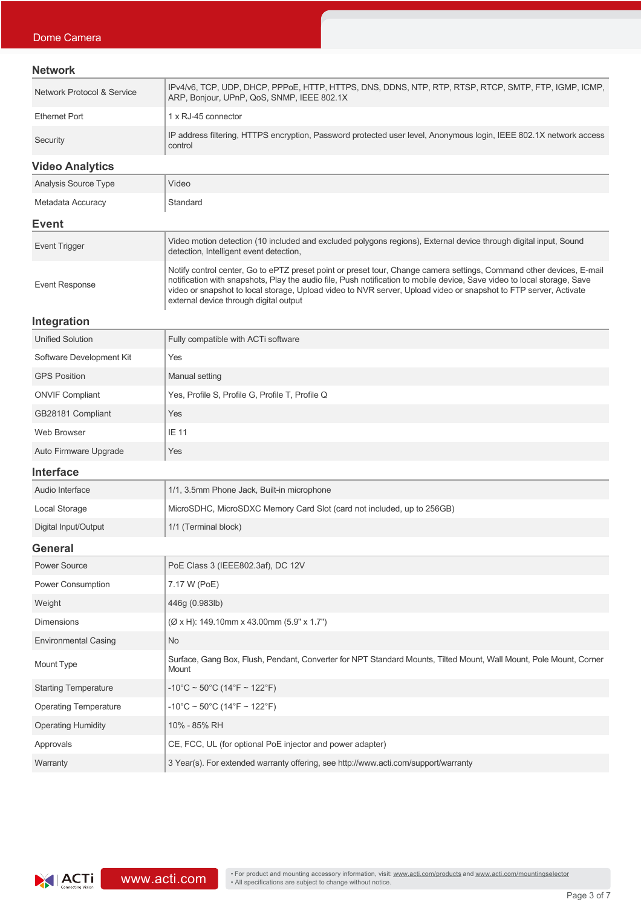### **Network**

| Network Protocol & Service | . IPv4/v6, TCP, UDP, DHCP, PPPoE, HTTP, HTTPS, DNS, DDNS, NTP, RTP, RTSP, RTCP, SMTP, FTP, IGMP, ICMP,<br>ARP, Bonjour, UPnP, QoS, SNMP, IEEE 802.1X |
|----------------------------|------------------------------------------------------------------------------------------------------------------------------------------------------|
| Ethernet Port              | 1 x RJ-45 connector                                                                                                                                  |
| Security                   | IP address filtering, HTTPS encryption, Password protected user level, Anonymous login, IEEE 802.1X network access<br>control                        |

**Video Analytics**

| <b>Analysis Source Type</b> | Video                                                                                                                                                                                                                                                                                                                                                                                                         |  |
|-----------------------------|---------------------------------------------------------------------------------------------------------------------------------------------------------------------------------------------------------------------------------------------------------------------------------------------------------------------------------------------------------------------------------------------------------------|--|
| Metadata Accuracy           | Standard                                                                                                                                                                                                                                                                                                                                                                                                      |  |
| Event                       |                                                                                                                                                                                                                                                                                                                                                                                                               |  |
| <b>Event Trigger</b>        | Video motion detection (10 included and excluded polygons regions), External device through digital input, Sound<br>detection, Intelligent event detection,                                                                                                                                                                                                                                                   |  |
| Event Response              | Notify control center, Go to ePTZ preset point or preset tour, Change camera settings, Command other devices, E-mail<br>notification with snapshots, Play the audio file, Push notification to mobile device, Save video to local storage, Save<br>video or snapshot to local storage, Upload video to NVR server, Upload video or snapshot to FTP server, Activate<br>external device through digital output |  |

## **Integration**

| <b>Unified Solution</b>  | Fully compatible with ACTi software             |
|--------------------------|-------------------------------------------------|
| Software Development Kit | Yes                                             |
| <b>GPS Position</b>      | Manual setting                                  |
| <b>ONVIF Compliant</b>   | Yes, Profile S, Profile G, Profile T, Profile Q |
| GB28181 Compliant        | Yes                                             |
| Web Browser              | IE 11                                           |
| Auto Firmware Upgrade    | Yes                                             |

#### **Interface**

| Audio Interface      | 1/1, 3.5mm Phone Jack, Built-in microphone                             |
|----------------------|------------------------------------------------------------------------|
| Local Storage        | MicroSDHC, MicroSDXC Memory Card Slot (card not included, up to 256GB) |
| Digital Input/Output | 1/1 (Terminal block)                                                   |

# **General**

| ovnom                        |                                                                                                                             |
|------------------------------|-----------------------------------------------------------------------------------------------------------------------------|
| Power Source                 | PoE Class 3 (IEEE802.3af), DC 12V                                                                                           |
| <b>Power Consumption</b>     | 7.17 W (PoE)                                                                                                                |
| Weight                       | 446g (0.983lb)                                                                                                              |
| <b>Dimensions</b>            | $(\emptyset$ x H): 149.10mm x 43.00mm (5.9" x 1.7")                                                                         |
| <b>Environmental Casing</b>  | <b>No</b>                                                                                                                   |
| Mount Type                   | Surface, Gang Box, Flush, Pendant, Converter for NPT Standard Mounts, Tilted Mount, Wall Mount, Pole Mount, Corner<br>Mount |
| <b>Starting Temperature</b>  | $-10^{\circ}$ C ~ 50°C (14°F ~ 122°F)                                                                                       |
| <b>Operating Temperature</b> | $-10^{\circ}$ C ~ 50°C (14°F ~ 122°F)                                                                                       |
| <b>Operating Humidity</b>    | 10% - 85% RH                                                                                                                |
| Approvals                    | CE, FCC, UL (for optional PoE injector and power adapter)                                                                   |
| Warranty                     | 3 Year(s). For extended warranty offering, see http://www.acti.com/support/warranty                                         |
|                              |                                                                                                                             |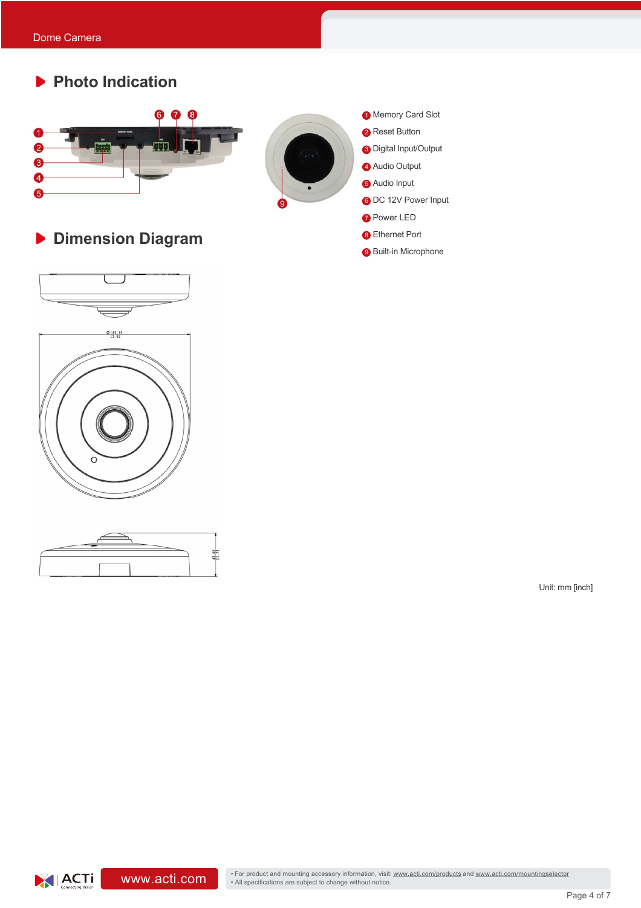# **Photo Indication**



**Dimension Diagram**









- **8** Ethernet Port
- **9** Built-in Microphone

Unit: mm [inch]

**WWW.acti.com/mountingselector** • For product and mounting accessory information, visit: www.acti.com/products and www.acti.com/mountingselector • All specifications are subject to change without notice.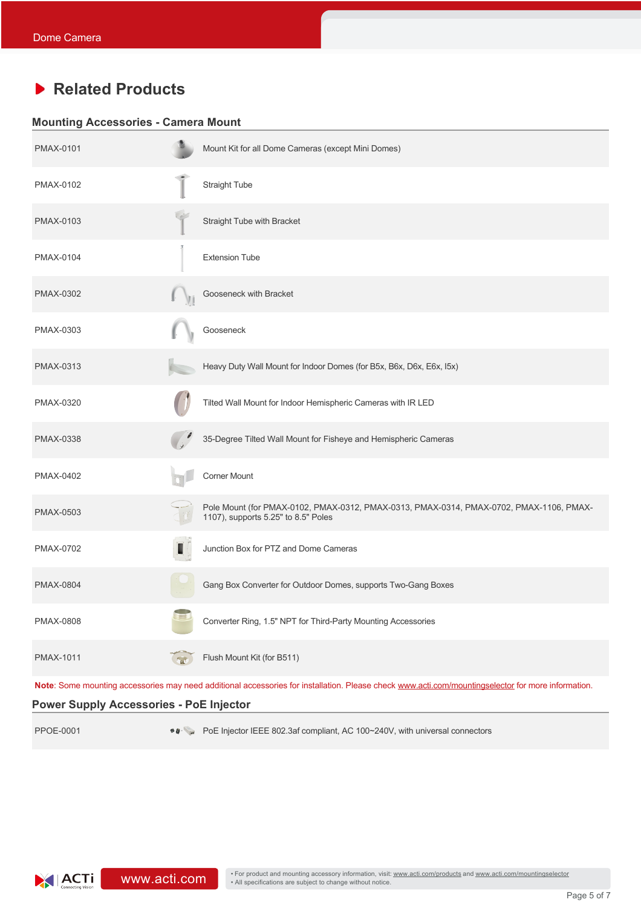# **Related Products**

### **Mounting Accessories - Camera Mount**

| <b>PMAX-0101</b>                               |                     | Mount Kit for all Dome Cameras (except Mini Domes)                                                                                                 |
|------------------------------------------------|---------------------|----------------------------------------------------------------------------------------------------------------------------------------------------|
| PMAX-0102                                      |                     | Straight Tube                                                                                                                                      |
| PMAX-0103                                      |                     | Straight Tube with Bracket                                                                                                                         |
| PMAX-0104                                      |                     | <b>Extension Tube</b>                                                                                                                              |
| PMAX-0302                                      |                     | Gooseneck with Bracket                                                                                                                             |
| PMAX-0303                                      |                     | Gooseneck                                                                                                                                          |
| PMAX-0313                                      |                     | Heavy Duty Wall Mount for Indoor Domes (for B5x, B6x, D6x, E6x, I5x)                                                                               |
| PMAX-0320                                      |                     | Tilted Wall Mount for Indoor Hemispheric Cameras with IR LED                                                                                       |
| <b>PMAX-0338</b>                               |                     | 35-Degree Tilted Wall Mount for Fisheye and Hemispheric Cameras                                                                                    |
| PMAX-0402                                      |                     | Corner Mount                                                                                                                                       |
| <b>PMAX-0503</b>                               |                     | Pole Mount (for PMAX-0102, PMAX-0312, PMAX-0313, PMAX-0314, PMAX-0702, PMAX-1106, PMAX-<br>1107), supports 5.25" to 8.5" Poles                     |
| PMAX-0702                                      | T                   | Junction Box for PTZ and Dome Cameras                                                                                                              |
| <b>PMAX-0804</b>                               |                     | Gang Box Converter for Outdoor Domes, supports Two-Gang Boxes                                                                                      |
| PMAX-0808                                      |                     | Converter Ring, 1.5" NPT for Third-Party Mounting Accessories                                                                                      |
| PMAX-1011                                      | $\epsilon_{\rm nt}$ | Flush Mount Kit (for B511)                                                                                                                         |
|                                                |                     | Note: Some mounting accessories may need additional accessories for installation. Please check www.acti.com/mountingselector for more information. |
| <b>Power Supply Accessories - PoE Injector</b> |                     |                                                                                                                                                    |

PPOE-0001 • • • POE Injector IEEE 802.3af compliant, AC 100~240V, with universal connectors

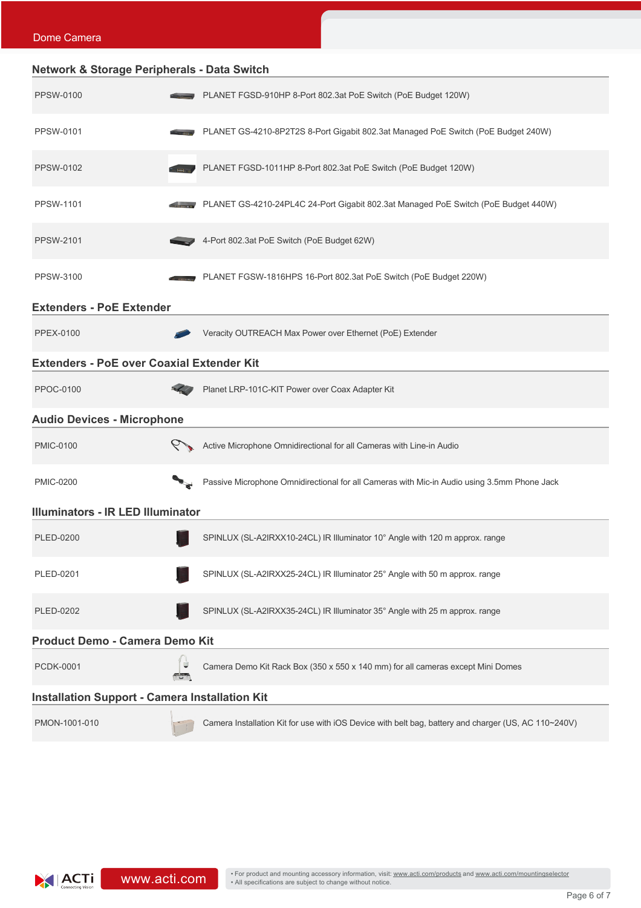| <b>Network &amp; Storage Peripherals - Data Switch</b> |   |                                                                                                      |
|--------------------------------------------------------|---|------------------------------------------------------------------------------------------------------|
| <b>PPSW-0100</b>                                       |   | PLANET FGSD-910HP 8-Port 802.3at PoE Switch (PoE Budget 120W)                                        |
| <b>PPSW-0101</b>                                       |   | PLANET GS-4210-8P2T2S 8-Port Gigabit 802.3at Managed PoE Switch (PoE Budget 240W)                    |
| <b>PPSW-0102</b>                                       |   | PLANET FGSD-1011HP 8-Port 802.3at PoE Switch (PoE Budget 120W)                                       |
| <b>PPSW-1101</b>                                       |   | PLANET GS-4210-24PL4C 24-Port Gigabit 802.3at Managed PoE Switch (PoE Budget 440W)                   |
| <b>PPSW-2101</b>                                       |   | 4-Port 802.3at PoE Switch (PoE Budget 62W)                                                           |
| <b>PPSW-3100</b>                                       |   | PLANET FGSW-1816HPS 16-Port 802.3at PoE Switch (PoE Budget 220W)                                     |
| <b>Extenders - PoE Extender</b>                        |   |                                                                                                      |
| <b>PPEX-0100</b>                                       |   | Veracity OUTREACH Max Power over Ethernet (PoE) Extender                                             |
| <b>Extenders - PoE over Coaxial Extender Kit</b>       |   |                                                                                                      |
| <b>PPOC-0100</b>                                       |   | Planet LRP-101C-KIT Power over Coax Adapter Kit                                                      |
| <b>Audio Devices - Microphone</b>                      |   |                                                                                                      |
| <b>PMIC-0100</b>                                       |   | Active Microphone Omnidirectional for all Cameras with Line-in Audio                                 |
| <b>PMIC-0200</b>                                       |   | Passive Microphone Omnidirectional for all Cameras with Mic-in Audio using 3.5mm Phone Jack          |
| <b>Illuminators - IR LED Illuminator</b>               |   |                                                                                                      |
| PLED-0200                                              |   | SPINLUX (SL-A2IRXX10-24CL) IR Illuminator 10° Angle with 120 m approx. range                         |
| PLED-0201                                              |   | SPINLUX (SL-A2IRXX25-24CL) IR Illuminator 25° Angle with 50 m approx. range                          |
| <b>PLED-0202</b>                                       |   | SPINLUX (SL-A2IRXX35-24CL) IR Illuminator 35° Angle with 25 m approx. range                          |
| <b>Product Demo - Camera Demo Kit</b>                  |   |                                                                                                      |
| <b>PCDK-0001</b>                                       | ⋓ | Camera Demo Kit Rack Box (350 x 550 x 140 mm) for all cameras except Mini Domes                      |
| <b>Installation Support - Camera Installation Kit</b>  |   |                                                                                                      |
| PMON-1001-010                                          |   | Camera Installation Kit for use with iOS Device with belt bag, battery and charger (US, AC 110~240V) |

Dome Camera